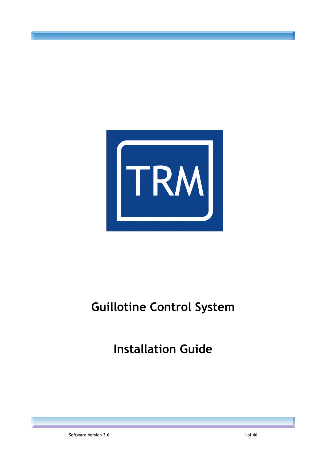

# **Guillotine Control System**

**Installation Guide**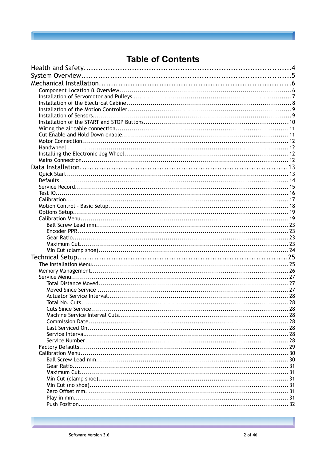## **Table of Contents**

| . 28 |
|------|
|      |
|      |
|      |
|      |
|      |
|      |
|      |
|      |
|      |
|      |
|      |
|      |
|      |
|      |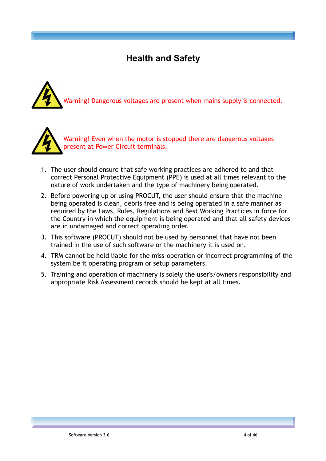## **Health and Safety**





- 1. The user should ensure that safe working practices are adhered to and that correct Personal Protective Equipment (PPE) is used at all times relevant to the nature of work undertaken and the type of machinery being operated.
- 2. Before powering up or using PROCUT, the user should ensure that the machine being operated is clean, debris free and is being operated in a safe manner as required by the Laws, Rules, Regulations and Best Working Practices in force for the Country in which the equipment is being operated and that all safety devices are in undamaged and correct operating order.
- 3. This software (PROCUT) should not be used by personnel that have not been trained in the use of such software or the machinery it is used on.
- 4. TRM cannot be held liable for the miss-operation or incorrect programming of the system be it operating program or setup parameters.
- 5. Training and operation of machinery is solely the user's/owners responsibility and appropriate Risk Assessment records should be kept at all times.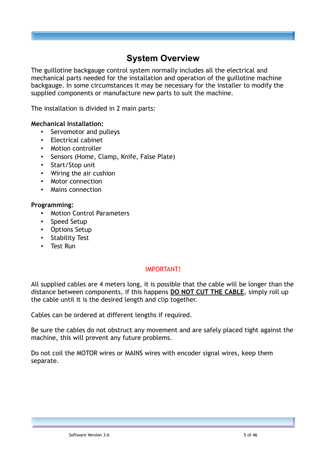## **System Overview**

The guillotine backgauge control system normally includes all the electrical and mechanical parts needed for the installation and operation of the guillotine machine backgauge. In some circumstances it may be necessary for the installer to modify the supplied components or manufacture new parts to suit the machine.

The installation is divided in 2 main parts:

#### **Mechanical Installation:**

- Servomotor and pulleys
- Electrical cabinet
- Motion controller
- Sensors (Home, Clamp, Knife, False Plate)
- Start/Stop unit
- Wiring the air cushion
- Motor connection
- Mains connection

#### **Programming:**

- Motion Control Parameters
- Speed Setup
- Options Setup
- Stability Test
- Test Run

#### IMPORTANT!

All supplied cables are 4 meters long, it is possible that the cable will be longer than the distance between components, if this happens **DO NOT CUT THE CABLE**, simply roll up the cable until it is the desired length and clip together.

Cables can be ordered at different lengths if required.

Be sure the cables do not obstruct any movement and are safely placed tight against the machine, this will prevent any future problems.

Do not coil the MOTOR wires or MAINS wires with encoder signal wires, keep them separate.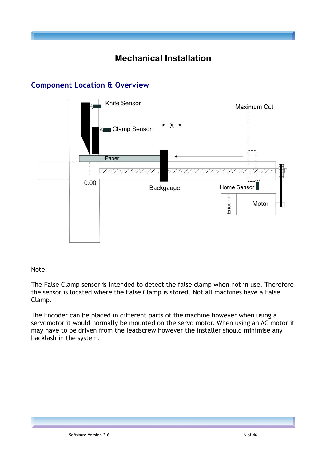## **Mechanical Installation**



## **Component Location & Overview**

Note:

The False Clamp sensor is intended to detect the false clamp when not in use. Therefore the sensor is located where the False Clamp is stored. Not all machines have a False Clamp.

The Encoder can be placed in different parts of the machine however when using a servomotor it would normally be mounted on the servo motor. When using an AC motor it may have to be driven from the leadscrew however the installer should minimise any backlash in the system.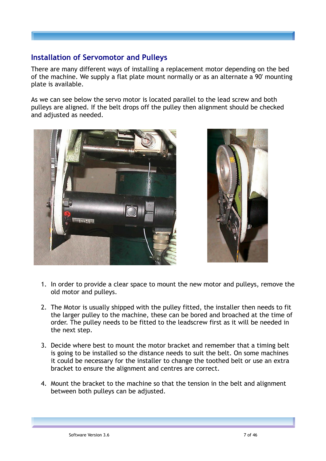## **Installation of Servomotor and Pulleys**

There are many different ways of installing a replacement motor depending on the bed of the machine. We supply a flat plate mount normally or as an alternate a 90' mounting plate is available.

As we can see below the servo motor is located parallel to the lead screw and both pulleys are aligned. If the belt drops off the pulley then alignment should be checked and adjusted as needed.





- 1. In order to provide a clear space to mount the new motor and pulleys, remove the old motor and pulleys.
- 2. The Motor is usually shipped with the pulley fitted, the installer then needs to fit the larger pulley to the machine, these can be bored and broached at the time of order. The pulley needs to be fitted to the leadscrew first as it will be needed in the next step.
- 3. Decide where best to mount the motor bracket and remember that a timing belt is going to be installed so the distance needs to suit the belt. On some machines it could be necessary for the installer to change the toothed belt or use an extra bracket to ensure the alignment and centres are correct.
- 4. Mount the bracket to the machine so that the tension in the belt and alignment between both pulleys can be adjusted.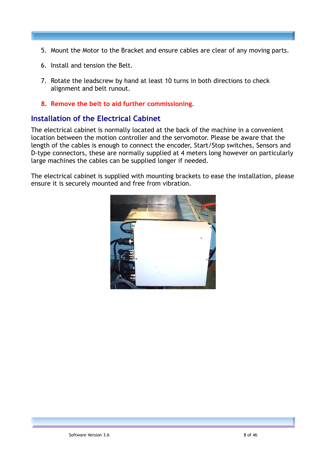- 5. Mount the Motor to the Bracket and ensure cables are clear of any moving parts.
- 6. Install and tension the Belt.
- 7. Rotate the leadscrew by hand at least 10 turns in both directions to check alignment and belt runout.
- **8. Remove the belt to aid further commissioning.**

## **Installation of the Electrical Cabinet**

The electrical cabinet is normally located at the back of the machine in a convenient location between the motion controller and the servomotor. Please be aware that the length of the cables is enough to connect the encoder, Start/Stop switches, Sensors and D-type connectors, these are normally supplied at 4 meters long however on particularly large machines the cables can be supplied longer if needed.

The electrical cabinet is supplied with mounting brackets to ease the installation, please ensure it is securely mounted and free from vibration.

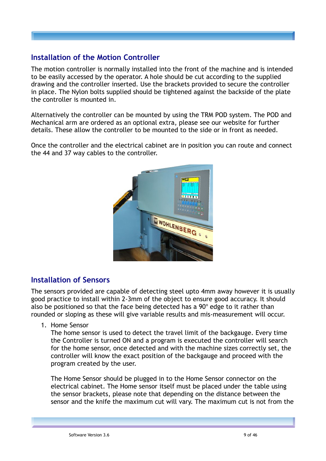## **Installation of the Motion Controller**

The motion controller is normally installed into the front of the machine and is intended to be easily accessed by the operator. A hole should be cut according to the supplied drawing and the controller inserted. Use the brackets provided to secure the controller in place. The Nylon bolts supplied should be tightened against the backside of the plate the controller is mounted in.

Alternatively the controller can be mounted by using the TRM POD system. The POD and Mechanical arm are ordered as an optional extra, please see our website for further details. These allow the controller to be mounted to the side or in front as needed.

Once the controller and the electrical cabinet are in position you can route and connect the 44 and 37 way cables to the controller.



## **Installation of Sensors**

The sensors provided are capable of detecting steel upto 4mm away however it is usually good practice to install within 2-3mm of the object to ensure good accuracy. It should also be positioned so that the face being detected has a  $90^{\circ}$  edge to it rather than rounded or sloping as these will give variable results and mis-measurement will occur.

1. Home Sensor

The home sensor is used to detect the travel limit of the backgauge. Every time the Controller is turned ON and a program is executed the controller will search for the home sensor, once detected and with the machine sizes correctly set, the controller will know the exact position of the backgauge and proceed with the program created by the user.

The Home Sensor should be plugged in to the Home Sensor connector on the electrical cabinet. The Home sensor itself must be placed under the table using the sensor brackets, please note that depending on the distance between the sensor and the knife the maximum cut will vary. The maximum cut is not from the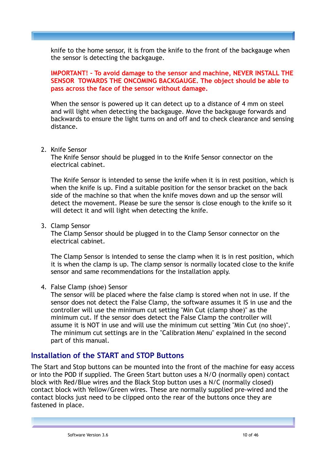knife to the home sensor, it is from the knife to the front of the backgauge when the sensor is detecting the backgauge.

**IMPORTANT! - To avoid damage to the sensor and machine, NEVER INSTALL THE SENSOR TOWARDS THE ONCOMING BACKGAUGE. The object should be able to pass across the face of the sensor without damage.**

When the sensor is powered up it can detect up to a distance of 4 mm on steel and will light when detecting the backgauge. Move the backgauge forwards and backwards to ensure the light turns on and off and to check clearance and sensing distance.

#### 2. Knife Sensor

The Knife Sensor should be plugged in to the Knife Sensor connector on the electrical cabinet.

The Knife Sensor is intended to sense the knife when it is in rest position, which is when the knife is up. Find a suitable position for the sensor bracket on the back side of the machine so that when the knife moves down and up the sensor will detect the movement. Please be sure the sensor is close enough to the knife so it will detect it and will light when detecting the knife.

#### 3. Clamp Sensor

The Clamp Sensor should be plugged in to the Clamp Sensor connector on the electrical cabinet.

The Clamp Sensor is intended to sense the clamp when it is in rest position, which it is when the clamp is up. The clamp sensor is normally located close to the knife sensor and same recommendations for the installation apply.

#### 4. False Clamp (shoe) Sensor

The sensor will be placed where the false clamp is stored when not in use. If the sensor does not detect the False Clamp, the software assumes it IS in use and the controller will use the minimum cut setting "Min Cut (clamp shoe)" as the minimum cut. If the sensor does detect the False Clamp the controller will assume it is NOT in use and will use the minimum cut setting "Min Cut (no shoe)". The minimum cut settings are in the "Calibration Menu" explained in the second part of this manual.

#### **Installation of the START and STOP Buttons**

The Start and Stop buttons can be mounted into the front of the machine for easy access or into the POD if supplied. The Green Start button uses a N/O (normally open) contact block with Red/Blue wires and the Black Stop button uses a N/C (normally closed) contact block with Yellow/Green wires. These are normally supplied pre-wired and the contact blocks just need to be clipped onto the rear of the buttons once they are fastened in place.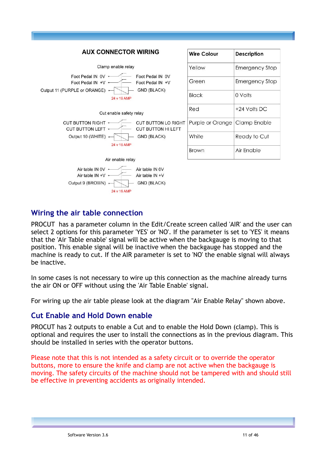



| Wire Colour      | Description           |
|------------------|-----------------------|
| Yellow           | <b>Emergency Stop</b> |
| Green            | <b>Emergency Stop</b> |
| <b>Black</b>     | 0 Volts               |
| Red              | +24 Volts DC          |
| Purple or Orange | <b>Clamp Enable</b>   |
| White            | Ready to Cut          |
| Brown            | Air Enable            |

## **Wiring the air table connection**

PROCUT has a parameter column in the Edit/Create screen called 'AIR' and the user can select 2 options for this parameter 'YES' or 'NO'. If the parameter is set to 'YES' it means that the 'Air Table enable' signal will be active when the backgauge is moving to that position. This enable signal will be inactive when the backgauge has stopped and the machine is ready to cut. If the AIR parameter is set to 'NO' the enable signal will always be inactive.

In some cases is not necessary to wire up this connection as the machine already turns the air ON or OFF without using the 'Air Table Enable' signal.

For wiring up the air table please look at the diagram "Air Enable Relay" shown above.

## **Cut Enable and Hold Down enable**

PROCUT has 2 outputs to enable a Cut and to enable the Hold Down (clamp). This is optional and requires the user to install the connections as in the previous diagram. This should be installed in series with the operator buttons.

Please note that this is not intended as a safety circuit or to override the operator buttons, more to ensure the knife and clamp are not active when the backgauge is moving. The safety circuits of the machine should not be tampered with and should still be effective in preventing accidents as originally intended.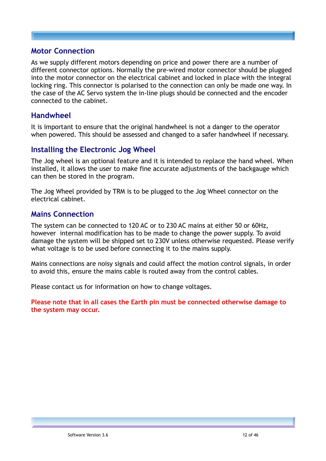### **Motor Connection**

As we supply different motors depending on price and power there are a number of different connector options. Normally the pre-wired motor connector should be plugged into the motor connector on the electrical cabinet and locked in place with the integral locking ring. This connector is polarised to the connection can only be made one way. In the case of the AC Servo system the in-line plugs should be connected and the encoder connected to the cabinet.

### **Handwheel**

It is important to ensure that the original handwheel is not a danger to the operator when powered. This should be assessed and changed to a safer handwheel if necessary.

## **Installing the Electronic Jog Wheel**

The Jog wheel is an optional feature and it is intended to replace the hand wheel. When installed, it allows the user to make fine accurate adjustments of the backgauge which can then be stored in the program.

The Jog Wheel provided by TRM is to be plugged to the Jog Wheel connector on the electrical cabinet.

## **Mains Connection**

The system can be connected to 120 AC or to 230 AC mains at either 50 or 60Hz, however internal modification has to be made to change the power supply. To avoid damage the system will be shipped set to 230V unless otherwise requested. Please verify what voltage is to be used before connecting it to the mains supply.

Mains connections are noisy signals and could affect the motion control signals, in order to avoid this, ensure the mains cable is routed away from the control cables.

Please contact us for information on how to change voltages.

**Please note that in all cases the Earth pin must be connected otherwise damage to the system may occur.**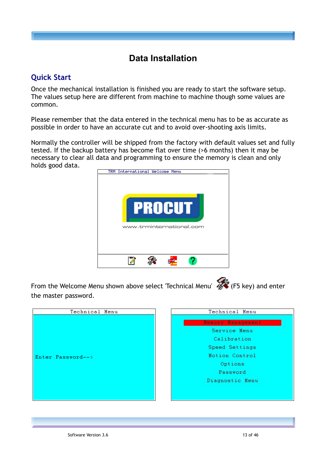## **Data Installation**

## **Quick Start**

Once the mechanical installation is finished you are ready to start the software setup. The values setup here are different from machine to machine though some values are common.

Please remember that the data entered in the technical menu has to be as accurate as possible in order to have an accurate cut and to avoid over-shooting axis limits.

Normally the controller will be shipped from the factory with default values set and fully tested. If the backup battery has become flat over time (>6 months) then it may be necessary to clear all data and programming to ensure the memory is clean and only holds good data.



From the Welcome Menu shown above select 'Technical Menu' (F5 key) and enter the master password.



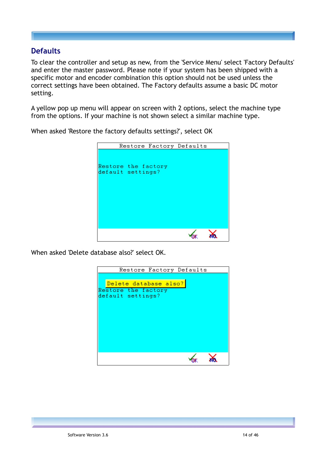## **Defaults**

To clear the controller and setup as new, from the 'Service Menu' select 'Factory Defaults' and enter the master password. Please note if your system has been shipped with a specific motor and encoder combination this option should not be used unless the correct settings have been obtained. The Factory defaults assume a basic DC motor setting.

A yellow pop up menu will appear on screen with 2 options, select the machine type from the options. If your machine is not shown select a similar machine type.

|                                          | Restore Factory Defaults |  |
|------------------------------------------|--------------------------|--|
| Restore the factory<br>default settings? |                          |  |
|                                          |                          |  |

When asked 'Restore the factory defaults settings?', select OK

When asked 'Delete database also?' select OK.

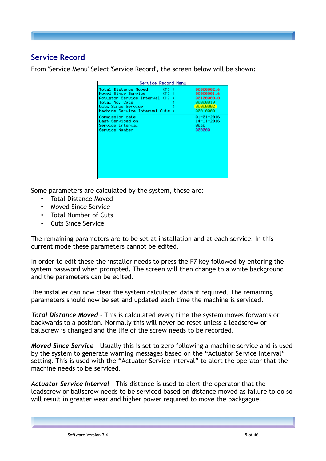## **Service Record**

From 'Service Menu' Select 'Service Record', the screen below will be shown:

| Service Record Menu               |                   |
|-----------------------------------|-------------------|
| Total Distance Moved ---- (M) :-- | 00000002.6        |
|                                   | <b>ВВЯВЯВЯ1.6</b> |
| Actuator Service Interval (M) : - | 00100000.0        |
| Total No. Cuts                    | 00000019          |
| Cuts Since Service                | 000000002         |
| Machine Service Interval Cuts :   | 00010000          |
| Commission date                   | 01-01-2016        |
| Last Serviced on                  | 14-11-2016        |
| Service Interval                  | 8838              |
| Service Number                    | 000000            |

Some parameters are calculated by the system, these are:

- Total Distance Moved
- Moved Since Service
- Total Number of Cuts
- Cuts Since Service

The remaining parameters are to be set at installation and at each service. In this current mode these parameters cannot be edited.

In order to edit these the installer needs to press the F7 key followed by entering the system password when prompted. The screen will then change to a white background and the parameters can be edited.

The installer can now clear the system calculated data if required. The remaining parameters should now be set and updated each time the machine is serviced.

*Total Distance Moved* – This is calculated every time the system moves forwards or backwards to a position. Normally this will never be reset unless a leadscrew or ballscrew is changed and the life of the screw needs to be recorded.

*Moved Since Service* – Usually this is set to zero following a machine service and is used by the system to generate warning messages based on the "Actuator Service Interval" setting. This is used with the "Actuator Service Interval" to alert the operator that the machine needs to be serviced.

*Actuator Service Interval* – This distance is used to alert the operator that the leadscrew or ballscrew needs to be serviced based on distance moved as failure to do so will result in greater wear and higher power required to move the backgague.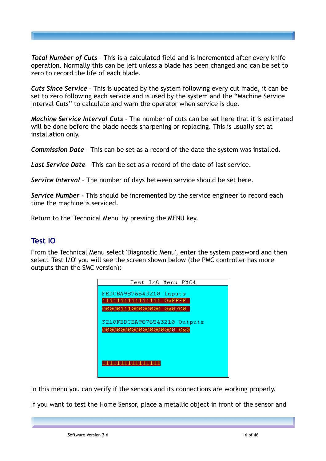*Total Number of Cuts* – This is a calculated field and is incremented after every knife operation. Normally this can be left unless a blade has been changed and can be set to zero to record the life of each blade.

*Cuts Since Service* – This is updated by the system following every cut made, it can be set to zero following each service and is used by the system and the "Machine Service Interval Cuts" to calculate and warn the operator when service is due.

*Machine Service Interval Cuts* – The number of cuts can be set here that it is estimated will be done before the blade needs sharpening or replacing. This is usually set at installation only.

*Commission Date* – This can be set as a record of the date the system was installed.

*Last Service Date* – This can be set as a record of the date of last service.

*Service Interval* – The number of days between service should be set here.

*Service Number* – This should be incremented by the service engineer to record each time the machine is serviced.

Return to the 'Technical Menu' by pressing the MENU key.

## **Test IO**

From the Technical Menu select 'Diagnostic Menu', enter the system password and then select 'Test I/O' you will see the screen shown below (the PMC controller has more outputs than the SMC version):

| Test I/O Menu PMC4                                    |
|-------------------------------------------------------|
| FEDCBA9876543210<br>Inputs<br>1111111111111111 0xFFFF |
| 0000011100000000 0x0700                               |
| 3210FEDCBA9876543210<br>Outputs                       |
| 1111111111111111                                      |

In this menu you can verify if the sensors and its connections are working properly.

If you want to test the Home Sensor, place a metallic object in front of the sensor and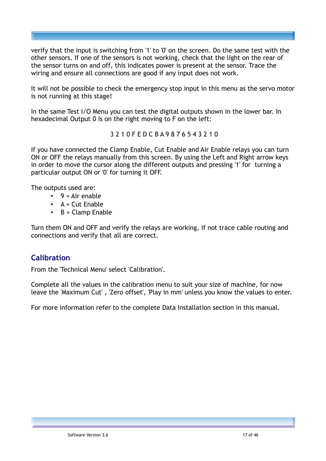verify that the input is switching from '1' to '0' on the screen. Do the same test with the other sensors. If one of the sensors is not working, check that the light on the rear of the sensor turns on and off, this indicates power is present at the sensor. Trace the wiring and ensure all connections are good if any input does not work.

It will not be possible to check the emergency stop input in this menu as the servo motor is not running at this stage!

In the same Test I/O Menu you can test the digital outputs shown in the lower bar. In hexadecimal Output 0 is on the right moving to F on the left:

#### 3 2 1 0 F E D C B A 9 8 7 6 5 4 3 2 1 0

If you have connected the Clamp Enable, Cut Enable and Air Enable relays you can turn ON or OFF the relays manually from this screen. By using the Left and Right arrow keys in order to move the cursor along the different outputs and pressing '1' for turning a particular output ON or '0' for turning it OFF.

The outputs used are:

- $9 = Air$ enable
- $\bullet$  A = Cut Enable
- **B** = Clamp Enable

Turn them ON and OFF and verify the relays are working, if not trace cable routing and connections and verify that all are correct.

## **Calibration**

From the 'Technical Menu' select 'Calibration'.

Complete all the values in the calibration menu to suit your size of machine, for now leave the 'Maximum Cut' , 'Zero offset', 'Play in mm' unless you know the values to enter.

For more information refer to the complete Data Installation section in this manual.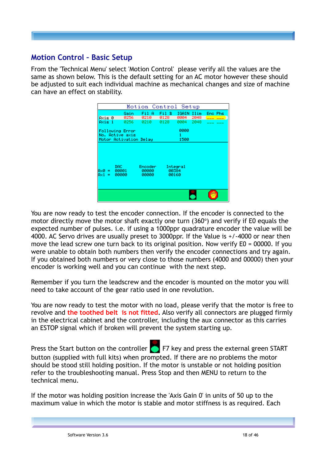## **Motion Control – Basic Setup**

From the 'Technical Menu' select 'Motion Control' please verify all the values are the same as shown below. This is the default setting for an AC motor however these should be adjusted to suit each individual machine as mechanical changes and size of machine can have an effect on stability.

|                      |                         | Motion Control Setup                   |       |                            |      |         |
|----------------------|-------------------------|----------------------------------------|-------|----------------------------|------|---------|
|                      | Gain                    | Fil A                                  | Fil B | IGAIN                      | Ilim | Eno Phs |
| Axis 0               | 0256                    | 0210                                   | 0128  | 0004                       | 2048 |         |
| Axis 1               | 0256                    | 0210                                   | 0128  | 0004                       | 2048 |         |
|                      | Following Error         |                                        |       | 0000                       |      |         |
|                      | No. Active axis         |                                        |       | 1                          |      |         |
|                      | Motor Activation Delay  |                                        |       | 1500                       |      |         |
| нх0 =<br>Ax1.<br>$=$ | DAC -<br>00001<br>00000 | Encoder <sup>1</sup><br>00000<br>00000 |       | Integral<br>00384<br>00160 |      |         |
|                      |                         |                                        |       |                            |      |         |

You are now ready to test the encoder connection. If the encoder is connected to the motor directly move the motor shaft exactly one turn  $(360^\circ)$  and verify if E0 equals the expected number of pulses. i.e. if using a 1000ppr quadrature encoder the value will be 4000. AC Servo drives are usually preset to 3000ppr. If the Value is +/-4000 or near then move the lead screw one turn back to its original position. Now verify E0 = 00000. If you were unable to obtain both numbers then verify the encoder connections and try again. If you obtained both numbers or very close to those numbers (4000 and 00000) then your encoder is working well and you can continue with the next step.

Remember if you turn the leadscrew and the encoder is mounted on the motor you will need to take account of the gear ratio used in one revolution.

You are now ready to test the motor with no load, please verify that the motor is free to revolve and **the toothed belt is not fitted.** Also verify all connectors are plugged firmly in the electrical cabinet and the controller, including the aux connector as this carries an ESTOP signal which if broken will prevent the system starting up.

Press the Start button on the controller  $\Box$  F7 key and press the external green START button (supplied with full kits) when prompted. If there are no problems the motor should be stood still holding position. If the motor is unstable or not holding position refer to the troubleshooting manual. Press Stop and then MENU to return to the technical menu.

If the motor was holding position increase the 'Axis Gain 0' in units of 50 up to the maximum value in which the motor is stable and motor stiffness is as required. Each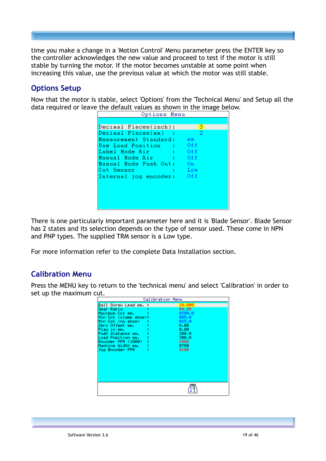time you make a change in a 'Motion Control' Menu parameter press the ENTER key so the controller acknowledges the new value and proceed to test if the motor is still stable by turning the motor. If the motor becomes unstable at some point when increasing this value, use the previous value at which the motor was still stable.

## **Options Setup**

Now that the motor is stable, select 'Options' from the 'Technical Menu' and Setup all the data required or leave the default values as shown in the image below.

| Options Menu              |       |
|---------------------------|-------|
|                           |       |
| Decimal Places(inch):     | 31    |
| Decimal Places(mm)        | 2     |
| Measurement Standard:     | m m   |
| Use Load Position : Off   |       |
| ™ Off<br>Label Mode Air   |       |
| Manual Mode Air : Off     |       |
| Manual Mode Push Out: On  |       |
| Cut Sensor                | – Low |
| Internal jog encoder: Off |       |
|                           |       |
|                           |       |
|                           |       |
|                           |       |
|                           |       |

There is one particularly important parameter here and it is 'Blade Sensor'. Blade Sensor has 2 states and its selection depends on the type of sensor used. These come in NPN and PNP types. The supplied TRM sensor is a Low type.

For more information refer to the complete Data Installation section.

## **Calibration Menu**

Press the MENU key to return to the 'technical menu' and select 'Calibration' in order to set up the maximum cut.

|                                                                                                                                                                                                                                                 | Calibration Menu                                                                                      |
|-------------------------------------------------------------------------------------------------------------------------------------------------------------------------------------------------------------------------------------------------|-------------------------------------------------------------------------------------------------------|
| Ball Screw Lead mm. :<br>Gear Ratio<br>Maximum Cut mm.<br>Min Cut (clamp shoe):<br>Min Cut (no shoe)<br>Zero Offset mm.<br>Play in mm.<br>Push Distance mm.<br>Load Position mm.<br>Encoder PPR (1000).<br>Machine Width mm.<br>Jog Encoder PPR | 10.000<br>04.80<br>0780.0<br>085.0<br>025.0<br>0.00<br>0.00<br>200.0<br>300.0<br>1000<br>8788<br>0100 |
|                                                                                                                                                                                                                                                 |                                                                                                       |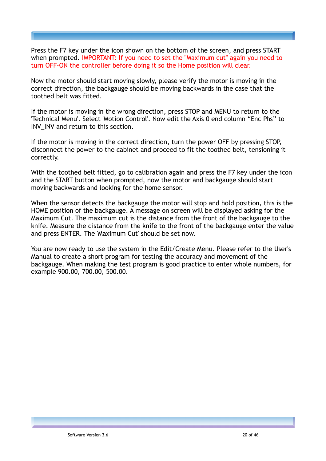Press the F7 key under the icon shown on the bottom of the screen, and press START when prompted. IMPORTANT: If you need to set the "Maximum cut" again you need to turn OFF-ON the controller before doing it so the Home position will clear.

Now the motor should start moving slowly, please verify the motor is moving in the correct direction, the backgauge should be moving backwards in the case that the toothed belt was fitted.

If the motor is moving in the wrong direction, press STOP and MENU to return to the 'Technical Menu'. Select 'Motion Control'. Now edit the Axis 0 end column "Enc Phs" to INV\_INV and return to this section.

If the motor is moving in the correct direction, turn the power OFF by pressing STOP, disconnect the power to the cabinet and proceed to fit the toothed belt, tensioning it correctly.

With the toothed belt fitted, go to calibration again and press the F7 key under the icon and the START button when prompted, now the motor and backgauge should start moving backwards and looking for the home sensor.

When the sensor detects the backgauge the motor will stop and hold position, this is the HOME position of the backgauge. A message on screen will be displayed asking for the Maximum Cut. The maximum cut is the distance from the front of the backgauge to the knife. Measure the distance from the knife to the front of the backgauge enter the value and press ENTER. The 'Maximum Cut' should be set now.

You are now ready to use the system in the Edit/Create Menu. Please refer to the User's Manual to create a short program for testing the accuracy and movement of the backgauge. When making the test program is good practice to enter whole numbers, for example 900.00, 700.00, 500.00.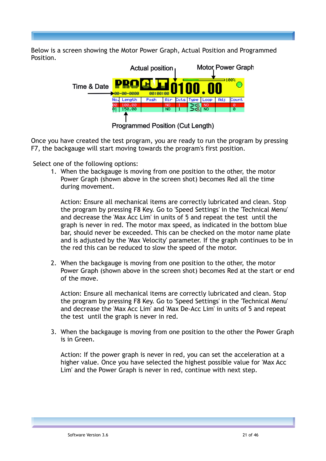Below is a screen showing the Motor Power Graph, Actual Position and Programmed Position.



**Programmed Position (Cut Length)** 

Once you have created the test program, you are ready to run the program by pressing F7, the backgauge will start moving towards the program's first position.

Select one of the following options:

1. When the backgauge is moving from one position to the other, the motor Power Graph (shown above in the screen shot) becomes Red all the time during movement.

Action: Ensure all mechanical items are correctly lubricated and clean. Stop the program by pressing F8 Key. Go to 'Speed Settings' in the 'Technical Menu' and decrease the 'Max Acc Lim' in units of 5 and repeat the test until the graph is never in red. The motor max speed, as indicated in the bottom blue bar, should never be exceeded. This can be checked on the motor name plate and is adjusted by the 'Max Velocity' parameter. If the graph continues to be in the red this can be reduced to slow the speed of the motor.

2. When the backgauge is moving from one position to the other, the motor Power Graph (shown above in the screen shot) becomes Red at the start or end of the move.

Action: Ensure all mechanical items are correctly lubricated and clean. Stop the program by pressing F8 Key. Go to 'Speed Settings' in the 'Technical Menu' and decrease the 'Max Acc Lim' and 'Max De-Acc Lim' in units of 5 and repeat the test until the graph is never in red.

3. When the backgauge is moving from one position to the other the Power Graph is in Green.

Action: If the power graph is never in red, you can set the acceleration at a higher value. Once you have selected the highest possible value for 'Max Acc Lim' and the Power Graph is never in red, continue with next step.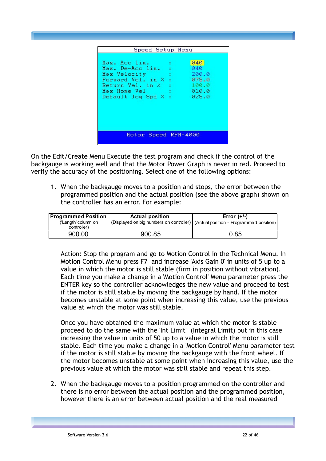| Speed Setup Menu                                                                                                                  |    |                                                           |
|-----------------------------------------------------------------------------------------------------------------------------------|----|-----------------------------------------------------------|
| Max. Acc lim.<br>Max. De-Acc lim.<br>Max Velocity<br>Forward Vel. in %<br>Return Vel. in %<br>Max Home Vel<br>Default Jog Spd % : | ÷. | 040<br>040<br>200.0<br>075.0<br>100.0<br>010.0<br>- 025.0 |
| Motor Speed RPM=4000                                                                                                              |    |                                                           |

On the Edit/Create Menu Execute the test program and check if the control of the backgauge is working well and that the Motor Power Graph is never in red. Proceed to verify the accuracy of the positioning. Select one of the following options:

1. When the backgauge moves to a position and stops, the error between the programmed position and the actual position (see the above graph) shown on the controller has an error. For example:

| <b>Programmed Position</b>         | <b>Actual position</b> | Error $(+/-)$                                                                      |
|------------------------------------|------------------------|------------------------------------------------------------------------------------|
| ('Length' column on<br>controller) |                        | (Displayed on big numbers on controller)   (Actual position - Programmed position) |
| 900.00                             | 900.85                 | 0.85                                                                               |

Action: Stop the program and go to Motion Control in the Technical Menu. In Motion Control Menu press F7 and increase 'Axis Gain 0' in units of 5 up to a value in which the motor is still stable (firm in position without vibration). Each time you make a change in a 'Motion Control' Menu parameter press the ENTER key so the controller acknowledges the new value and proceed to test if the motor is still stable by moving the backgauge by hand. If the motor becomes unstable at some point when increasing this value, use the previous value at which the motor was still stable.

Once you have obtained the maximum value at which the motor is stable proceed to do the same with the 'Int Limit' (Integral Limit) but in this case increasing the value in units of 50 up to a value in which the motor is still stable. Each time you make a change in a 'Motion Control' Menu parameter test if the motor is still stable by moving the backgauge with the front wheel. If the motor becomes unstable at some point when increasing this value, use the previous value at which the motor was still stable and repeat this step.

2. When the backgauge moves to a position programmed on the controller and there is no error between the actual position and the programmed position, however there is an error between actual position and the real measured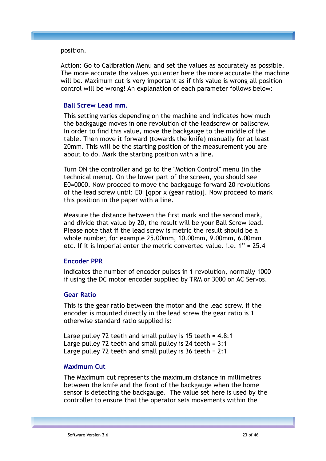position.

Action: Go to Calibration Menu and set the values as accurately as possible. The more accurate the values you enter here the more accurate the machine will be. Maximum cut is very important as if this value is wrong all position control will be wrong! An explanation of each parameter follows below:

#### **Ball Screw Lead mm.**

This setting varies depending on the machine and indicates how much the backgauge moves in one revolution of the leadscrew or ballscrew. In order to find this value, move the backgauge to the middle of the table. Then move it forward (towards the knife) manually for at least 20mm. This will be the starting position of the measurement you are about to do. Mark the starting position with a line.

Turn ON the controller and go to the "Motion Control" menu (in the technical menu). On the lower part of the screen, you should see E0=0000. Now proceed to move the backgauge forward 20 revolutions of the lead screw until: E0=[qppr x (gear ratio)]. Now proceed to mark this position in the paper with a line.

Measure the distance between the first mark and the second mark, and divide that value by 20, the result will be your Ball Screw lead. Please note that if the lead screw is metric the result should be a whole number, for example 25.00mm, 10.00mm, 9.00mm, 6.00mm etc. If it is Imperial enter the metric converted value. i.e. 1" = 25.4

#### **Encoder PPR**

Indicates the number of encoder pulses in 1 revolution, normally 1000 if using the DC motor encoder supplied by TRM or 3000 on AC Servos.

#### **Gear Ratio**

This is the gear ratio between the motor and the lead screw, if the encoder is mounted directly in the lead screw the gear ratio is 1 otherwise standard ratio supplied is:

Large pulley 72 teeth and small pulley is 15 teeth = 4.8:1 Large pulley 72 teeth and small pulley is 24 teeth = 3:1 Large pulley 72 teeth and small pulley is 36 teeth = 2:1

#### **Maximum Cut**

The Maximum cut represents the maximum distance in millimetres between the knife and the front of the backgauge when the home sensor is detecting the backgauge. The value set here is used by the controller to ensure that the operator sets movements within the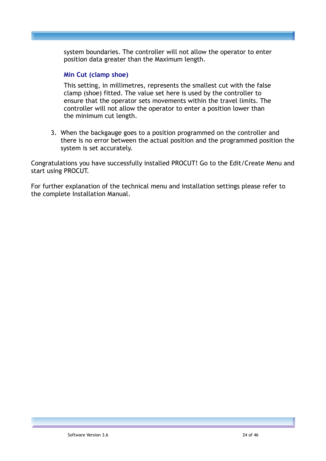system boundaries. The controller will not allow the operator to enter position data greater than the Maximum length.

#### **Min Cut (clamp shoe)**

This setting, in millimetres, represents the smallest cut with the false clamp (shoe) fitted. The value set here is used by the controller to ensure that the operator sets movements within the travel limits. The controller will not allow the operator to enter a position lower than the minimum cut length.

3. When the backgauge goes to a position programmed on the controller and there is no error between the actual position and the programmed position the system is set accurately.

Congratulations you have successfully installed PROCUT! Go to the Edit/Create Menu and start using PROCUT.

For further explanation of the technical menu and installation settings please refer to the complete Installation Manual.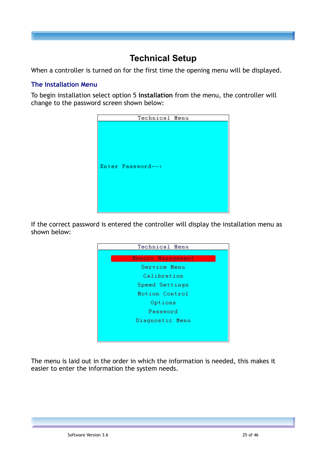## **Technical Setup**

When a controller is turned on for the first time the opening menu will be displayed.

#### **The Installation Menu**

To begin installation select option 5 **installation** from the menu, the controller will change to the password screen shown below:



If the correct password is entered the controller will display the installation menu as shown below:



The menu is laid out in the order in which the information is needed, this makes it easier to enter the information the system needs.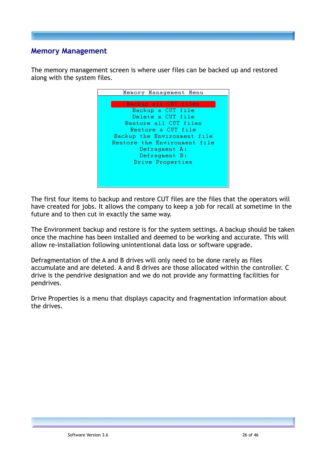## **Memory Management**

The memory management screen is where user files can be backed up and restored along with the system files.



The first four items to backup and restore CUT files are the files that the operators will have created for jobs. It allows the company to keep a job for recall at sometime in the future and to then cut in exactly the same way.

The Environment backup and restore is for the system settings. A backup should be taken once the machine has been installed and deemed to be working and accurate. This will allow re-installation following unintentional data loss or software upgrade.

Defragmentation of the A and B drives will only need to be done rarely as files accumulate and are deleted. A and B drives are those allocated within the controller. C drive is the pendrive designation and we do not provide any formatting facilities for pendrives.

Drive Properties is a menu that displays capacity and fragmentation information about the drives.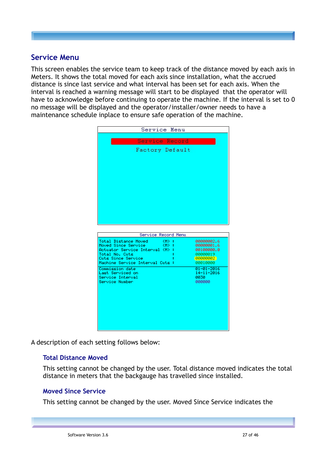## **Service Menu**

This screen enables the service team to keep track of the distance moved by each axis in Meters. It shows the total moved for each axis since installation, what the accrued distance is since last service and what interval has been set for each axis. When the interval is reached a warning message will start to be displayed that the operator will have to acknowledge before continuing to operate the machine. If the interval is set to 0 no message will be displayed and the operator/installer/owner needs to have a maintenance schedule inplace to ensure safe operation of the machine.

| Service Menu                                                        |                          |
|---------------------------------------------------------------------|--------------------------|
| Service Record                                                      |                          |
| Factory Default                                                     |                          |
|                                                                     |                          |
|                                                                     |                          |
|                                                                     |                          |
|                                                                     |                          |
|                                                                     |                          |
|                                                                     |                          |
|                                                                     |                          |
|                                                                     |                          |
|                                                                     |                          |
|                                                                     |                          |
| Service Record Menu                                                 |                          |
| Total Distance Moved<br>- CMD + 1                                   | 00000002.6               |
| Moved Since Service<br>- CMD - 1<br>Actuator Service Interval (M) : | 00000001.6<br>00100000.0 |
| Total No. Cuts                                                      | 00000019                 |
| Cuts Since Service                                                  | 00000002                 |
| Machine Service Interval Cuts :                                     |                          |
|                                                                     | 00010000                 |
| Commission date                                                     | $01 - 01 - 2016$         |
| Last Serviced on                                                    | $14 - 11 - 2016$         |
| Service Interval                                                    | 0030<br>000000           |
| Service Number                                                      |                          |
|                                                                     |                          |
|                                                                     |                          |
|                                                                     |                          |
|                                                                     |                          |
|                                                                     |                          |
|                                                                     |                          |

A description of each setting follows below:

#### **Total Distance Moved**

This setting cannot be changed by the user. Total distance moved indicates the total distance in meters that the backgauge has travelled since installed.

#### **Moved Since Service**

This setting cannot be changed by the user. Moved Since Service indicates the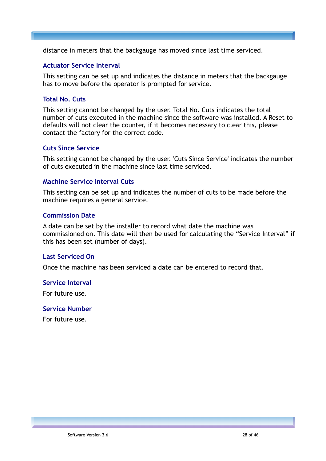distance in meters that the backgauge has moved since last time serviced.

#### **Actuator Service Interval**

This setting can be set up and indicates the distance in meters that the backgauge has to move before the operator is prompted for service.

#### **Total No. Cuts**

This setting cannot be changed by the user. Total No. Cuts indicates the total number of cuts executed in the machine since the software was installed. A Reset to defaults will not clear the counter, if it becomes necessary to clear this, please contact the factory for the correct code.

#### **Cuts Since Service**

This setting cannot be changed by the user. 'Cuts Since Service' indicates the number of cuts executed in the machine since last time serviced.

#### **Machine Service Interval Cuts**

This setting can be set up and indicates the number of cuts to be made before the machine requires a general service.

#### **Commission Date**

A date can be set by the installer to record what date the machine was commissioned on. This date will then be used for calculating the "Service Interval" if this has been set (number of days).

#### **Last Serviced On**

Once the machine has been serviced a date can be entered to record that.

#### **Service Interval**

For future use.

#### **Service Number**

For future use.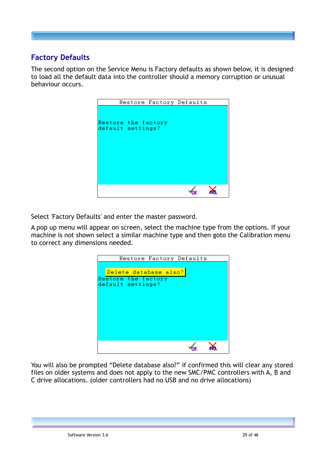## **Factory Defaults**

The second option on the Service Menu is Factory defaults as shown below, it is designed to load all the default data into the controller should a memory corruption or unusual behaviour occurs.



Select 'Factory Defaults' and enter the master password.

A pop up menu will appear on screen, select the machine type from the options. If your machine is not shown select a similar machine type and then goto the Calibration menu to correct any dimensions needed.

| Restore Factory Defaults                                          |
|-------------------------------------------------------------------|
| Delete database also?<br>Restore the factory<br>default settings? |
|                                                                   |

You will also be prompted "Delete database also?" if confirmed this will clear any stored files on older systems and does not apply to the new SMC/PMC controllers with A, B and C drive allocations. (older controllers had no USB and no drive allocations)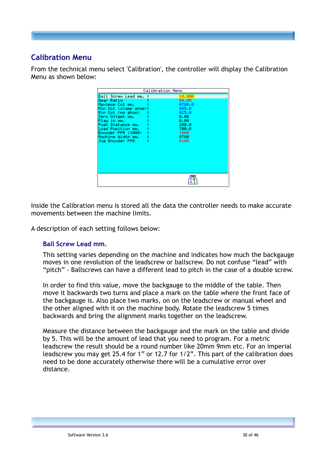## **Calibration Menu**

From the technical menu select 'Calibration', the controller will display the Calibration Menu as shown below:

|                                                                                                                                                                                                                                                         | Calibration Menu                                                                                       |  |
|---------------------------------------------------------------------------------------------------------------------------------------------------------------------------------------------------------------------------------------------------------|--------------------------------------------------------------------------------------------------------|--|
| <b>Ball Screw Lead mm. :</b><br>Gear Ratio<br>Maximum Cut mm.<br>Min Cut (clamp shoe):<br>Min Cut (no shoe)<br>Zero Offset mm.<br>Play in mm.<br>Push Distance mm.<br>Load Position mm.<br>Encoder PPR (1000) –<br>Machine Width mm.<br>Jog Encoder PPR | 10.000<br>04.80<br>0780.0<br>085.0<br>825.8<br>0.00<br>0.00<br>200. 0<br>300.0<br>1000<br>0780<br>0100 |  |
|                                                                                                                                                                                                                                                         |                                                                                                        |  |

Inside the Calibration menu is stored all the data the controller needs to make accurate movements between the machine limits.

A description of each setting follows below:

#### **Ball Screw Lead mm.**

This setting varies depending on the machine and indicates how much the backgauge moves in one revolution of the leadscrew or ballscrew. Do not confuse "lead" with "pitch" - Ballscrews can have a different lead to pitch in the case of a double screw.

In order to find this value, move the backgauge to the middle of the table. Then move it backwards two turns and place a mark on the table where the front face of the backgauge is. Also place two marks, on on the leadscrew or manual wheel and the other aligned with it on the machine body. Rotate the leadscrew 5 times backwards and bring the alignment marks together on the leadscrew.

Measure the distance between the backgauge and the mark on the table and divide by 5. This will be the amount of lead that you need to program. For a metric leadscrew the result should be a round number like 20mm 9mm etc. For an imperial leadscrew you may get 25.4 for 1" or 12.7 for 1/2". This part of the calibration does need to be done accurately otherwise there will be a cumulative error over distance.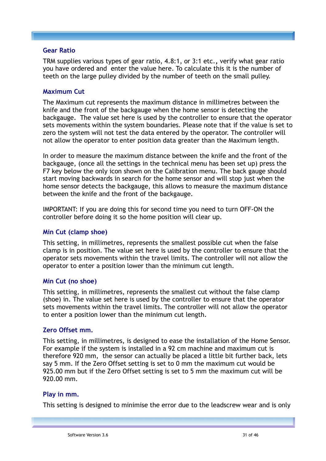#### **Gear Ratio**

TRM supplies various types of gear ratio, 4.8:1, or 3:1 etc.**,** verify what gear ratio you have ordered and enter the value here. To calculate this it is the number of teeth on the large pulley divided by the number of teeth on the small pulley.

#### **Maximum Cut**

The Maximum cut represents the maximum distance in millimetres between the knife and the front of the backgauge when the home sensor is detecting the backgauge. The value set here is used by the controller to ensure that the operator sets movements within the system boundaries. Please note that if the value is set to zero the system will not test the data entered by the operator. The controller will not allow the operator to enter position data greater than the Maximum length.

In order to measure the maximum distance between the knife and the front of the backgauge, (once all the settings in the technical menu has been set up) press the F7 key below the only icon shown on the Calibration menu. The back gauge should start moving backwards in search for the home sensor and will stop just when the home sensor detects the backgauge, this allows to measure the maximum distance between the knife and the front of the backgauge.

IMPORTANT: If you are doing this for second time you need to turn OFF-ON the controller before doing it so the home position will clear up.

#### **Min Cut (clamp shoe)**

This setting, in millimetres, represents the smallest possible cut when the false clamp is in position. The value set here is used by the controller to ensure that the operator sets movements within the travel limits. The controller will not allow the operator to enter a position lower than the minimum cut length.

#### **Min Cut (no shoe)**

This setting, in millimetres, represents the smallest cut without the false clamp (shoe) in. The value set here is used by the controller to ensure that the operator sets movements within the travel limits. The controller will not allow the operator to enter a position lower than the minimum cut length.

#### **Zero Offset mm.**

This setting, in millimetres, is designed to ease the installation of the Home Sensor. For example if the system is installed in a 92 cm machine and maximum cut is therefore 920 mm, the sensor can actually be placed a little bit further back, lets say 5 mm. If the Zero Offset setting is set to 0 mm the maximum cut would be 925.00 mm but if the Zero Offset setting is set to 5 mm the maximum cut will be 920.00 mm.

#### **Play in mm.**

This setting is designed to minimise the error due to the leadscrew wear and is only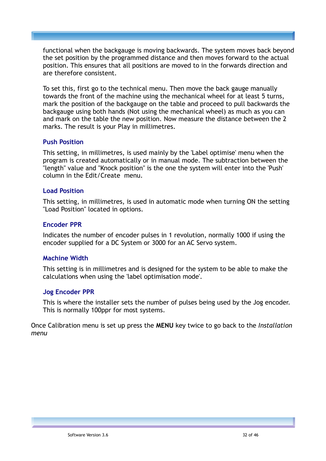functional when the backgauge is moving backwards. The system moves back beyond the set position by the programmed distance and then moves forward to the actual position. This ensures that all positions are moved to in the forwards direction and are therefore consistent.

To set this, first go to the technical menu. Then move the back gauge manually towards the front of the machine using the mechanical wheel for at least 5 turns, mark the position of the backgauge on the table and proceed to pull backwards the backgauge using both hands (Not using the mechanical wheel) as much as you can and mark on the table the new position. Now measure the distance between the 2 marks. The result is your Play in millimetres.

#### **Push Position**

This setting, in millimetres, is used mainly by the 'Label optimise' menu when the program is created automatically or in manual mode. The subtraction between the "length" value and "Knock position" is the one the system will enter into the 'Push' column in the Edit/Create menu.

#### **Load Position**

This setting, in millimetres, is used in automatic mode when turning ON the setting "Load Position" located in options.

#### **Encoder PPR**

Indicates the number of encoder pulses in 1 revolution, normally 1000 if using the encoder supplied for a DC System or 3000 for an AC Servo system.

#### **Machine Width**

This setting is in millimetres and is designed for the system to be able to make the calculations when using the 'label optimisation mode'.

#### **Jog Encoder PPR**

This is where the installer sets the number of pulses being used by the Jog encoder. This is normally 100ppr for most systems.

Once Calibration menu is set up press the **MENU** key twice to go back to the *Installation menu*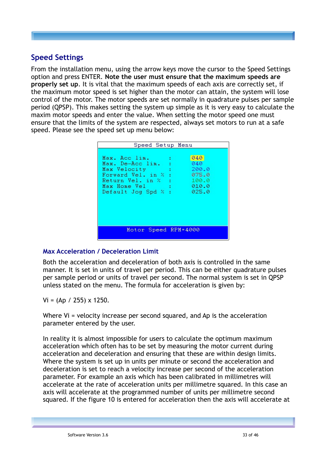## **Speed Settings**

From the installation menu, using the arrow keys move the cursor to the Speed Settings option and press ENTER. **Note the user must ensure that the maximum speeds are properly set up**. It is vital that the maximum speeds of each axis are correctly set, if the maximum motor speed is set higher than the motor can attain, the system will lose control of the motor. The motor speeds are set normally in quadrature pulses per sample period (QPSP). This makes setting the system up simple as it is very easy to calculate the maxim motor speeds and enter the value. When setting the motor speed one must ensure that the limits of the system are respected, always set motors to run at a safe speed. Please see the speed set up menu below:

| Speed Setup Menu                                                                                                                                                                              |  |  |  |
|-----------------------------------------------------------------------------------------------------------------------------------------------------------------------------------------------|--|--|--|
| 040<br>Max. Acc lim.<br>040.<br>Max. De-Acc lim.<br>200.0<br>Max Velocity<br>075.0<br>Forward Vel. in %<br>- 100.0<br>Return Vel. in %<br>010.0<br>Max Home Vel<br>025.0<br>Default Jog Spd % |  |  |  |
| Motor Speed RPM=4000                                                                                                                                                                          |  |  |  |

#### **Max Acceleration / Deceleration Limit**

Both the acceleration and deceleration of both axis is controlled in the same manner. It is set in units of travel per period. This can be either quadrature pulses per sample period or units of travel per second. The normal system is set in QPSP unless stated on the menu. The formula for acceleration is given by:

 $Vi = (Ap / 255) \times 1250.$ 

Where Vi = velocity increase per second squared, and Ap is the acceleration parameter entered by the user.

In reality it is almost impossible for users to calculate the optimum maximum acceleration which often has to be set by measuring the motor current during acceleration and deceleration and ensuring that these are within design limits. Where the system is set up in units per minute or second the acceleration and deceleration is set to reach a velocity increase per second of the acceleration parameter. For example an axis which has been calibrated in millimetres will accelerate at the rate of acceleration units per millimetre squared. In this case an axis will accelerate at the programmed number of units per millimetre second squared. If the figure 10 is entered for acceleration then the axis will accelerate at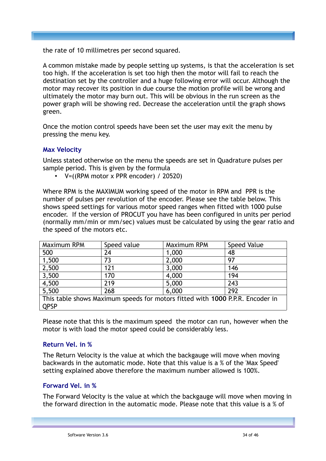the rate of 10 millimetres per second squared.

A common mistake made by people setting up systems, is that the acceleration is set too high. If the acceleration is set too high then the motor will fail to reach the destination set by the controller and a huge following error will occur. Although the motor may recover its position in due course the motion profile will be wrong and ultimately the motor may burn out. This will be obvious in the run screen as the power graph will be showing red. Decrease the acceleration until the graph shows green.

Once the motion control speeds have been set the user may exit the menu by pressing the menu key.

#### **Max Velocity**

Unless stated otherwise on the menu the speeds are set in Quadrature pulses per sample period. This is given by the formula

• V=((RPM motor x PPR encoder) / 20520)

Where RPM is the MAXIMUM working speed of the motor in RPM and PPR is the number of pulses per revolution of the encoder. Please see the table below. This shows speed settings for various motor speed ranges when fitted with 1000 pulse encoder. If the version of PROCUT you have has been configured in units per period (normally mm/min or mm/sec) values must be calculated by using the gear ratio and the speed of the motors etc.

| Maximum RPM                                                                   | Speed value | Maximum RPM | Speed Value |
|-------------------------------------------------------------------------------|-------------|-------------|-------------|
| 500                                                                           | 24          | 1,000       | 48          |
| 1,500                                                                         | 73          | 2,000       | 97          |
| 2,500                                                                         | 121         | 3,000       | 146         |
| 3,500                                                                         | 170         | 4,000       | 194         |
| 4,500                                                                         | 219         | 5,000       | 243         |
| 5,500                                                                         | 268         | 6,000       | 292         |
| This table shows Maximum speeds for motors fitted with 1000 P.P.R. Encoder in |             |             |             |
| <b>QPSP</b>                                                                   |             |             |             |

Please note that this is the maximum speed the motor can run, however when the motor is with load the motor speed could be considerably less.

#### **Return Vel. in %**

The Return Velocity is the value at which the backgauge will move when moving backwards in the automatic mode. Note that this value is a % of the 'Max Speed' setting explained above therefore the maximum number allowed is 100%.

#### **Forward Vel. in %**

The Forward Velocity is the value at which the backgauge will move when moving in the forward direction in the automatic mode. Please note that this value is a % of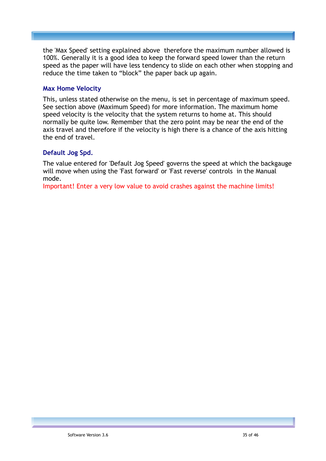the 'Max Speed' setting explained above therefore the maximum number allowed is 100%. Generally it is a good idea to keep the forward speed lower than the return speed as the paper will have less tendency to slide on each other when stopping and reduce the time taken to "block" the paper back up again.

#### **Max Home Velocity**

This, unless stated otherwise on the menu, is set in percentage of maximum speed. See section above (Maximum Speed) for more information. The maximum home speed velocity is the velocity that the system returns to home at. This should normally be quite low. Remember that the zero point may be near the end of the axis travel and therefore if the velocity is high there is a chance of the axis hitting the end of travel.

#### **Default Jog Spd.**

The value entered for 'Default Jog Speed' governs the speed at which the backgauge will move when using the 'Fast forward' or 'Fast reverse' controls in the Manual mode.

Important! Enter a very low value to avoid crashes against the machine limits!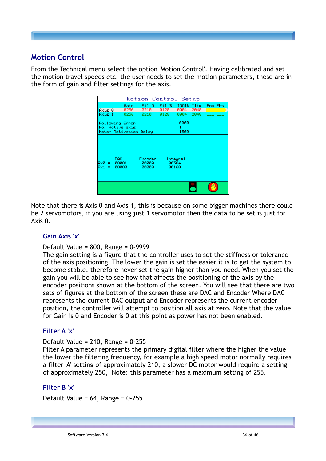## **Motion Control**

From the Technical menu select the option 'Motion Control'. Having calibrated and set the motion travel speeds etc. the user needs to set the motion parameters, these are in the form of gain and filter settings for the axis.



Note that there is Axis 0 and Axis 1, this is because on some bigger machines there could be 2 servomotors, if you are using just 1 servomotor then the data to be set is just for Axis 0.

#### **Gain Axis 'x'**

#### Default Value = 800, Range = 0-9999

The gain setting is a figure that the controller uses to set the stiffness or tolerance of the axis positioning. The lower the gain is set the easier it is to get the system to become stable, therefore never set the gain higher than you need. When you set the gain you will be able to see how that affects the positioning of the axis by the encoder positions shown at the bottom of the screen. You will see that there are two sets of figures at the bottom of the screen these are DAC and Encoder Where DAC represents the current DAC output and Encoder represents the current encoder position, the controller will attempt to position all axis at zero. Note that the value for Gain is 0 and Encoder is 0 at this point as power has not been enabled.

#### **Filter A 'x'**

#### Default Value = 210, Range = 0-255

Filter A parameter represents the primary digital filter where the higher the value the lower the filtering frequency, for example a high speed motor normally requires a filter 'A' setting of approximately 210, a slower DC motor would require a setting of approximately 250, Note: this parameter has a maximum setting of 255.

#### **Filter B 'x'**

Default Value = 64, Range = 0-255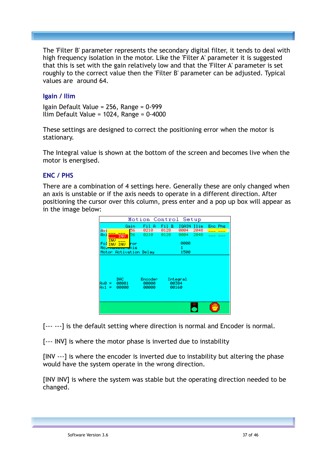The 'Filter B' parameter represents the secondary digital filter, it tends to deal with high frequency isolation in the motor. Like the 'Filter A' parameter it is suggested that this is set with the gain relatively low and that the 'Filter A' parameter is set roughly to the correct value then the 'Filter B' parameter can be adjusted. Typical values are around 64.

#### **Igain / Ilim**

Igain Default Value = 256, Range = 0-999 Ilim Default Value = 1024, Range = 0-4000

These settings are designed to correct the positioning error when the motor is stationary.

The Integral value is shown at the bottom of the screen and becomes live when the motor is energised.

#### **ENC / PHS**

There are a combination of 4 settings here. Generally these are only changed when an axis is unstable or if the axis needs to operate in a different direction. After positioning the cursor over this column, press enter and a pop up box will appear as in the image below:

|                                                    | Motion Control Setup              |                |              |              |         |  |
|----------------------------------------------------|-----------------------------------|----------------|--------------|--------------|---------|--|
| Gain                                               | Fil<br>-A                         | Fil B          | IGAIN        | Ilim         | Eno Phs |  |
| 156<br>Axi<br>56<br>Axi<br><b>INU</b>              | 0210<br>0210                      | 0128<br>0128   | 0004<br>0004 | 2048<br>2048 |         |  |
| <b>INU</b>                                         |                                   |                | 0000         |              |         |  |
| Fol INU<br><b>INU</b><br>hon<br>No F<br>xis        |                                   |                |              |              |         |  |
| Motor Activation Delay                             |                                   |                | 1500         |              |         |  |
| DAC.<br>00001<br>Ах0г<br>$=$<br>00000<br>A×1.<br>= | <b>Encoder:</b><br>00000<br>00000 | 00384<br>00160 | Integral     |              |         |  |
|                                                    |                                   |                |              |              |         |  |

[--- ---] is the default setting where direction is normal and Encoder is normal.

[--- INV] is where the motor phase is inverted due to instability

[INV ---] is where the encoder is inverted due to instability but altering the phase would have the system operate in the wrong direction.

[INV INV] is where the system was stable but the operating direction needed to be changed.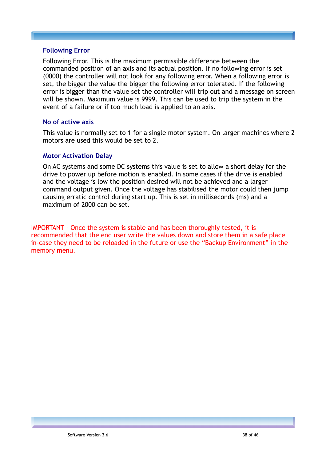#### **Following Error**

Following Error. This is the maximum permissible difference between the commanded position of an axis and its actual position. If no following error is set (0000) the controller will not look for any following error. When a following error is set, the bigger the value the bigger the following error tolerated. If the following error is bigger than the value set the controller will trip out and a message on screen will be shown. Maximum value is 9999. This can be used to trip the system in the event of a failure or if too much load is applied to an axis.

#### **No of active axis**

This value is normally set to 1 for a single motor system. On larger machines where 2 motors are used this would be set to 2.

#### **Motor Activation Delay**

On AC systems and some DC systems this value is set to allow a short delay for the drive to power up before motion is enabled. In some cases if the drive is enabled and the voltage is low the position desired will not be achieved and a larger command output given. Once the voltage has stabilised the motor could then jump causing erratic control during start up. This is set in milliseconds (ms) and a maximum of 2000 can be set.

IMPORTANT - Once the system is stable and has been thoroughly tested, it is recommended that the end user write the values down and store them in a safe place in-case they need to be reloaded in the future or use the "Backup Environment" in the memory menu.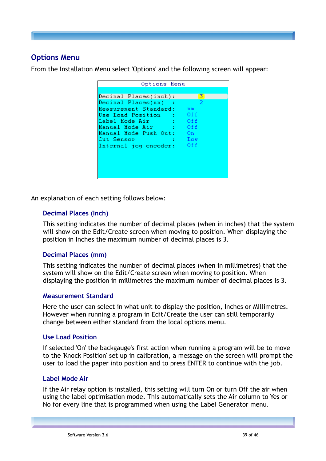## **Options Menu**

From the Installation Menu select 'Options' and the following screen will appear:

| Options Menu                                      |       |  |  |  |
|---------------------------------------------------|-------|--|--|--|
|                                                   |       |  |  |  |
| Decimal Places(inch):                             | 31    |  |  |  |
| Decimal Places(mm)<br>- 1                         | -2.   |  |  |  |
| Measurement Standard:                             | mm.   |  |  |  |
| Use Load Position : Off                           |       |  |  |  |
| $\overline{\phantom{a}}$ of f<br>Label Mode Air - |       |  |  |  |
| ™ Off<br>Manual Mode Air                          |       |  |  |  |
| Manual Mode Push Out: On                          |       |  |  |  |
| Cut Sensor                                        | : Low |  |  |  |
| Internal jog encoder: Off                         |       |  |  |  |
|                                                   |       |  |  |  |
|                                                   |       |  |  |  |
|                                                   |       |  |  |  |
|                                                   |       |  |  |  |
|                                                   |       |  |  |  |

An explanation of each setting follows below:

#### **Decimal Places (Inch)**

This setting indicates the number of decimal places (when in inches) that the system will show on the Edit/Create screen when moving to position. When displaying the position in Inches the maximum number of decimal places is 3.

#### **Decimal Places (mm)**

This setting indicates the number of decimal places (when in millimetres) that the system will show on the Edit/Create screen when moving to position. When displaying the position in millimetres the maximum number of decimal places is 3.

#### **Measurement Standard**

Here the user can select in what unit to display the position, Inches or Millimetres. However when running a program in Edit/Create the user can still temporarily change between either standard from the local options menu.

#### **Use Load Position**

If selected 'On' the backgauge's first action when running a program will be to move to the 'Knock Position' set up in calibration, a message on the screen will prompt the user to load the paper into position and to press ENTER to continue with the job.

#### **Label Mode Air**

If the Air relay option is installed, this setting will turn On or turn Off the air when using the label optimisation mode. This automatically sets the Air column to Yes or No for every line that is programmed when using the Label Generator menu.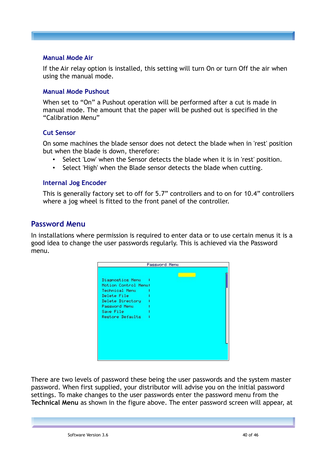#### **Manual Mode Air**

If the Air relay option is installed, this setting will turn On or turn Off the air when using the manual mode.

#### **Manual Mode Pushout**

When set to "On" a Pushout operation will be performed after a cut is made in manual mode. The amount that the paper will be pushed out is specified in the "Calibration Menu"

#### **Cut Sensor**

On some machines the blade sensor does not detect the blade when in 'rest' position but when the blade is down, therefore:

- Select 'Low' when the Sensor detects the blade when it is in 'rest' position.
- Select 'High' when the Blade sensor detects the blade when cutting.

#### **Internal Jog Encoder**

This is generally factory set to off for 5.7" controllers and to on for 10.4" controllers where a jog wheel is fitted to the front panel of the controller.

#### **Password Menu**

In installations where permission is required to enter data or to use certain menus it is a good idea to change the user passwords regularly. This is achieved via the Password menu.

| Password Menu                                                                                                                                   |     |  |  |
|-------------------------------------------------------------------------------------------------------------------------------------------------|-----|--|--|
| Diagnostics Menu<br>Motion Control Menu:<br>Technical Menu<br>Delete File<br>Delete Directory<br>Password Menu<br>Save File<br>Restore Defaults | - 1 |  |  |

There are two levels of password these being the user passwords and the system master password. When first supplied, your distributor will advise you on the initial password settings. To make changes to the user passwords enter the password menu from the **Technical Menu** as shown in the figure above. The enter password screen will appear, at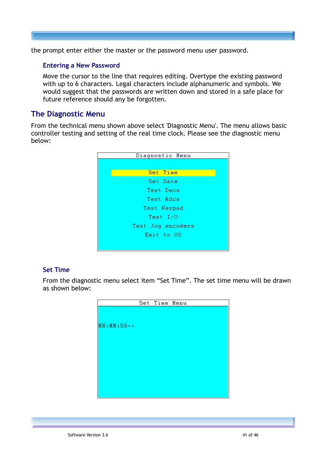the prompt enter either the master or the password menu user password.

#### **Entering a New Password**

Move the cursor to the line that requires editing. Overtype the existing password with up to 6 characters. Legal characters include alphanumeric and symbols. We would suggest that the passwords are written down and stored in a safe place for future reference should any be forgotten.

#### **The Diagnostic Menu**

From the technical menu shown above select 'Diagnostic Menu'. The menu allows basic controller testing and setting of the real time clock. Please see the diagnostic menu below:



#### **Set Time**

From the diagnostic menu select item "Set Time". The set time menu will be drawn as shown below:

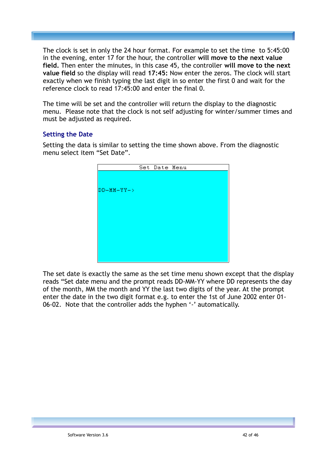The clock is set in only the 24 hour format. For example to set the time to 5:45:00 in the evening, enter 17 for the hour, the controller **will move to the next value field.** Then enter the minutes, in this case 45, the controller **will move to the next value field** so the display will read **17:45:** Now enter the zeros. The clock will start exactly when we finish typing the last digit in so enter the first 0 and wait for the reference clock to read 17:45:00 and enter the final 0.

The time will be set and the controller will return the display to the diagnostic menu. Please note that the clock is not self adjusting for winter/summer times and must be adjusted as required.

#### **Setting the Date**

Setting the data is similar to setting the time shown above. From the diagnostic menu select item "Set Date".

|              | Set Date Menu |  |
|--------------|---------------|--|
|              |               |  |
|              |               |  |
| $DD-MM-YY->$ |               |  |
|              |               |  |
|              |               |  |
|              |               |  |
|              |               |  |
|              |               |  |
|              |               |  |
|              |               |  |
|              |               |  |
|              |               |  |

The set date is exactly the same as the set time menu shown except that the display reads "Set date menu and the prompt reads DD-MM-YY where DD represents the day of the month, MM the month and YY the last two digits of the year. At the prompt enter the date in the two digit format e.g. to enter the 1st of June 2002 enter 01- 06-02. Note that the controller adds the hyphen '-' automatically.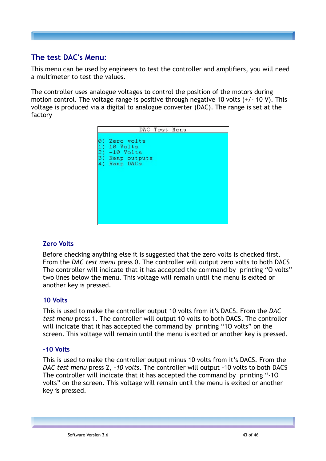## **The test DAC's Menu:**

This menu can be used by engineers to test the controller and amplifiers, you will need a multimeter to test the values.

The controller uses analogue voltages to control the position of the motors during motion control. The voltage range is positive through negative 10 volts (+/- 10 V). This voltage is produced via a digital to analogue converter (DAC). The range is set at the factory



#### **Zero Volts**

Before checking anything else it is suggested that the zero volts is checked first. From the *DAC test menu* press 0. The controller will output zero volts to both DACS The controller will indicate that it has accepted the command by printing "O volts" two lines below the menu. This voltage will remain until the menu is exited or another key is pressed.

#### **10 Volts**

This is used to make the controller output 10 volts from it's DACS. From the *DAC test menu* press 1. The controller will output 10 volts to both DACS. The controller will indicate that it has accepted the command by printing "1O volts" on the screen. This voltage will remain until the menu is exited or another key is pressed.

#### **-10 Volts**

This is used to make the controller output minus 10 volts from it's DACS. From the *DAC test menu* press 2, *-10 volts*. The controller will output -10 volts to both DACS The controller will indicate that it has accepted the command by printing "-1O volts" on the screen. This voltage will remain until the menu is exited or another key is pressed.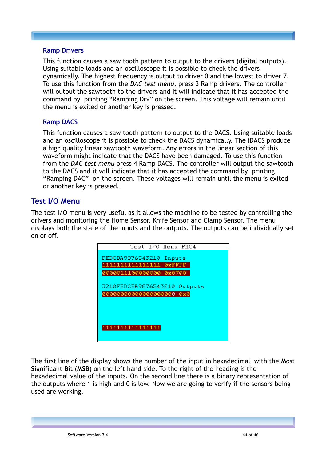#### **Ramp Drivers**

This function causes a saw tooth pattern to output to the drivers (digital outputs). Using suitable loads and an oscilloscope it is possible to check the drivers dynamically. The highest frequency is output to driver 0 and the lowest to driver 7. To use this function from the *DAC test menu,* press 3 Ramp drivers. The controller will output the sawtooth to the drivers and it will indicate that it has accepted the command by printing "Ramping Drv" on the screen. This voltage will remain until the menu is exited or another key is pressed.

#### **Ramp DACS**

This function causes a saw tooth pattern to output to the DACS. Using suitable loads and an oscilloscope it is possible to check the DACS dynamically. The iDACS produce a high quality linear sawtooth waveform. Any errors in the linear section of this waveform might indicate that the DACS have been damaged. To use this function from the *DAC test menu* press 4 Ramp DACS. The controller will output the sawtooth to the DACS and it will indicate that it has accepted the command by printing "Ramping DAC" on the screen. These voltages will remain until the menu is exited or another key is pressed.

#### **Test I/O Menu**

The test I/O menu is very useful as it allows the machine to be tested by controlling the drivers and monitoring the Home Sensor, Knife Sensor and Clamp Sensor. The menu displays both the state of the inputs and the outputs. The outputs can be individually set on or off.



The first line of the display shows the number of the input in hexadecimal with the **M**ost **S**ignificant **B**it (**MSB**) on the left hand side. To the right of the heading is the hexadecimal value of the inputs. On the second line there is a binary representation of the outputs where 1 is high and 0 is low. Now we are going to verify if the sensors being used are working.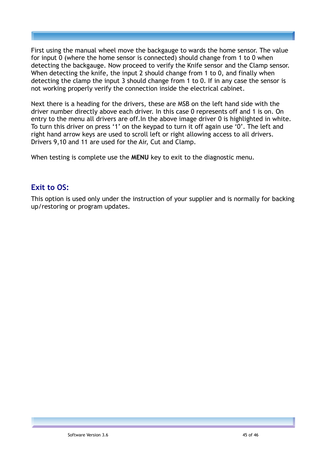First using the manual wheel move the backgauge to wards the home sensor. The value for input 0 (where the home sensor is connected) should change from 1 to 0 when detecting the backgauge. Now proceed to verify the Knife sensor and the Clamp sensor. When detecting the knife, the input 2 should change from 1 to 0, and finally when detecting the clamp the input 3 should change from 1 to 0. If in any case the sensor is not working properly verify the connection inside the electrical cabinet.

Next there is a heading for the drivers, these are MSB on the left hand side with the driver number directly above each driver. In this case 0 represents off and 1 is on. On entry to the menu all drivers are off.In the above image driver 0 is highlighted in white. To turn this driver on press '1' on the keypad to turn it off again use '0'. The left and right hand arrow keys are used to scroll left or right allowing access to all drivers. Drivers 9,10 and 11 are used for the Air, Cut and Clamp.

When testing is complete use the **MENU** key to exit to the diagnostic menu.

## **Exit to OS:**

This option is used only under the instruction of your supplier and is normally for backing up/restoring or program updates.